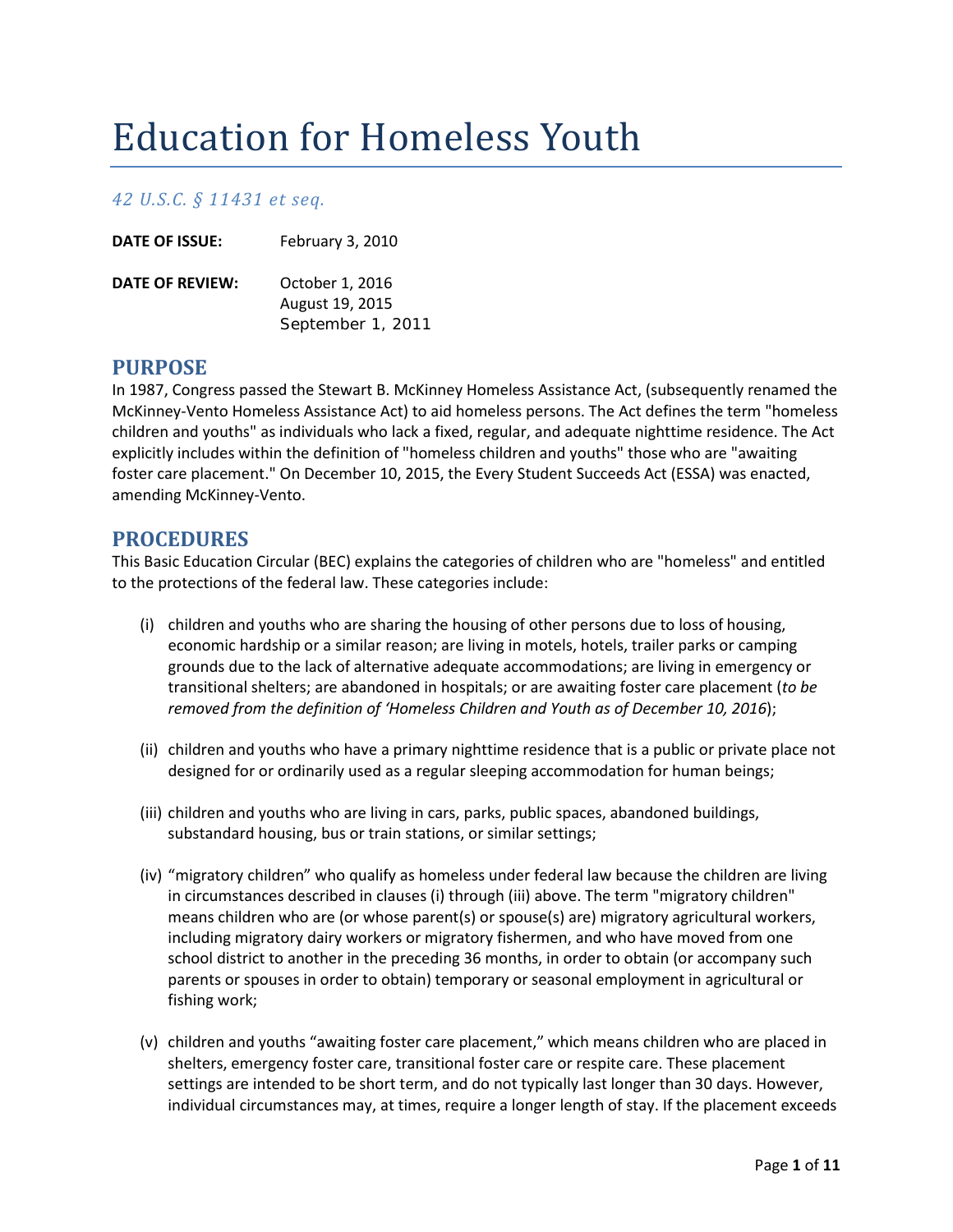# Education for Homeless Youth

## *42 U.S.C. § 11431 et seq.*

| <b>DATE OF ISSUE:</b>  | February 3, 2010                   |
|------------------------|------------------------------------|
| <b>DATE OF REVIEW:</b> | October 1, 2016<br>August 19, 2015 |
|                        | September 1, 2011                  |

## **PURPOSE**

In 1987, Congress passed the Stewart B. McKinney Homeless Assistance Act, (subsequently renamed the McKinney-Vento Homeless Assistance Act) to aid homeless persons. The Act defines the term "homeless children and youths" as individuals who lack a fixed, regular, and adequate nighttime residence. The Act explicitly includes within the definition of "homeless children and youths" those who are "awaiting foster care placement." On December 10, 2015, the Every Student Succeeds Act (ESSA) was enacted, amending McKinney-Vento.

## **PROCEDURES**

This Basic Education Circular (BEC) explains the categories of children who are "homeless" and entitled to the protections of the federal law. These categories include:

- (i) children and youths who are sharing the housing of other persons due to loss of housing, economic hardship or a similar reason; are living in motels, hotels, trailer parks or camping grounds due to the lack of alternative adequate accommodations; are living in emergency or transitional shelters; are abandoned in hospitals; or are awaiting foster care placement (*to be removed from the definition of 'Homeless Children and Youth as of December 10, 2016*);
- (ii) children and youths who have a primary nighttime residence that is a public or private place not designed for or ordinarily used as a regular sleeping accommodation for human beings;
- (iii) children and youths who are living in cars, parks, public spaces, abandoned buildings, substandard housing, bus or train stations, or similar settings;
- (iv) "migratory children" who qualify as homeless under federal law because the children are living in circumstances described in clauses (i) through (iii) above. The term "migratory children" means children who are (or whose parent(s) or spouse(s) are) migratory agricultural workers, including migratory dairy workers or migratory fishermen, and who have moved from one school district to another in the preceding 36 months, in order to obtain (or accompany such parents or spouses in order to obtain) temporary or seasonal employment in agricultural or fishing work;
- (v) children and youths "awaiting foster care placement," which means children who are placed in shelters, emergency foster care, transitional foster care or respite care. These placement settings are intended to be short term, and do not typically last longer than 30 days. However, individual circumstances may, at times, require a longer length of stay. If the placement exceeds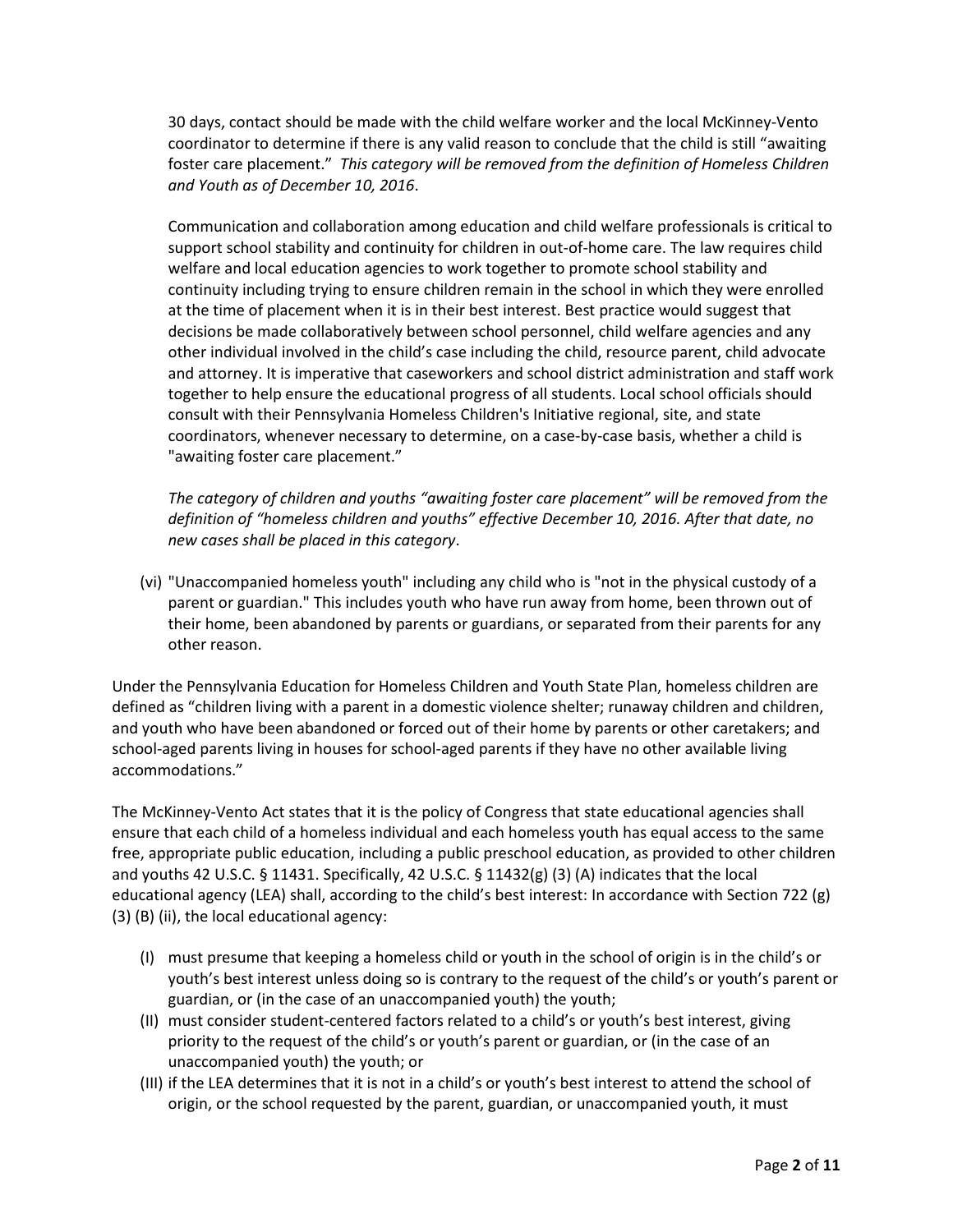30 days, contact should be made with the child welfare worker and the local McKinney-Vento coordinator to determine if there is any valid reason to conclude that the child is still "awaiting foster care placement." *This category will be removed from the definition of Homeless Children and Youth as of December 10, 2016*.

Communication and collaboration among education and child welfare professionals is critical to support school stability and continuity for children in out-of-home care. The law requires child welfare and local education agencies to work together to promote school stability and continuity including trying to ensure children remain in the school in which they were enrolled at the time of placement when it is in their best interest. Best practice would suggest that decisions be made collaboratively between school personnel, child welfare agencies and any other individual involved in the child's case including the child, resource parent, child advocate and attorney. It is imperative that caseworkers and school district administration and staff work together to help ensure the educational progress of all students. Local school officials should consult with their Pennsylvania Homeless Children's Initiative regional, site, and state coordinators, whenever necessary to determine, on a case-by-case basis, whether a child is "awaiting foster care placement."

*The category of children and youths "awaiting foster care placement" will be removed from the definition of "homeless children and youths" effective December 10, 2016. After that date, no new cases shall be placed in this category*.

(vi) "Unaccompanied homeless youth" including any child who is "not in the physical custody of a parent or guardian." This includes youth who have run away from home, been thrown out of their home, been abandoned by parents or guardians, or separated from their parents for any other reason.

Under the Pennsylvania Education for Homeless Children and Youth State Plan, homeless children are defined as "children living with a parent in a domestic violence shelter; runaway children and children, and youth who have been abandoned or forced out of their home by parents or other caretakers; and school-aged parents living in houses for school-aged parents if they have no other available living accommodations."

The McKinney-Vento Act states that it is the policy of Congress that state educational agencies shall ensure that each child of a homeless individual and each homeless youth has equal access to the same free, appropriate public education, including a public preschool education, as provided to other children and youths 42 U.S.C. § 11431. Specifically, 42 U.S.C. § 11432(g) (3) (A) indicates that the local educational agency (LEA) shall, according to the child's best interest: In accordance with Section 722 (g) (3) (B) (ii), the local educational agency:

- (I) must presume that keeping a homeless child or youth in the school of origin is in the child's or youth's best interest unless doing so is contrary to the request of the child's or youth's parent or guardian, or (in the case of an unaccompanied youth) the youth;
- (II) must consider student-centered factors related to a child's or youth's best interest, giving priority to the request of the child's or youth's parent or guardian, or (in the case of an unaccompanied youth) the youth; or
- (III) if the LEA determines that it is not in a child's or youth's best interest to attend the school of origin, or the school requested by the parent, guardian, or unaccompanied youth, it must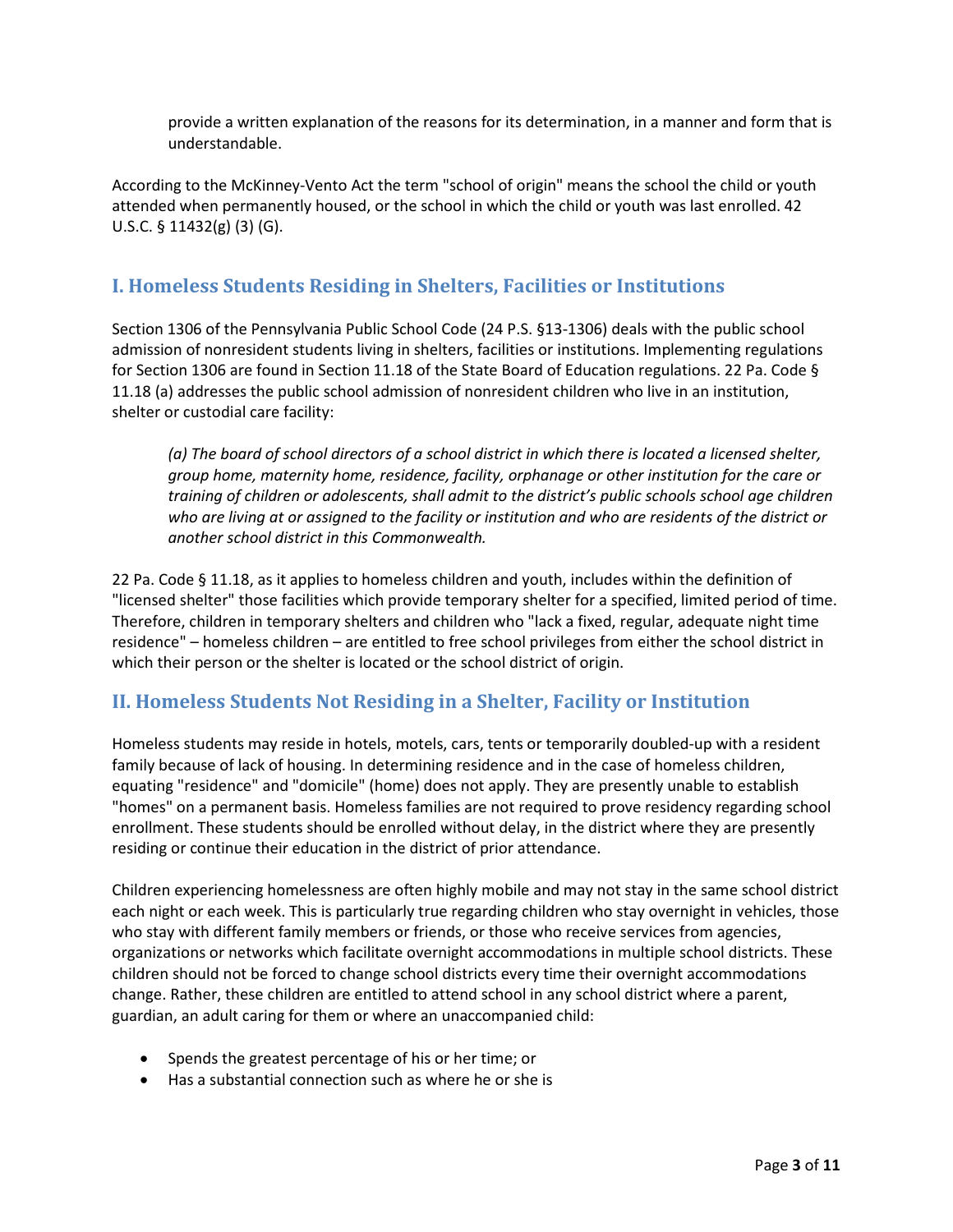provide a written explanation of the reasons for its determination, in a manner and form that is understandable.

According to the McKinney-Vento Act the term "school of origin" means the school the child or youth attended when permanently housed, or the school in which the child or youth was last enrolled. 42 U.S.C. § 11432(g) (3) (G).

# **I. Homeless Students Residing in Shelters, Facilities or Institutions**

Section 1306 of the Pennsylvania Public School Code (24 P.S. §13-1306) deals with the public school admission of nonresident students living in shelters, facilities or institutions. Implementing regulations for Section 1306 are found in Section 11.18 of the State Board of Education regulations. 22 Pa. Code § 11.18 (a) addresses the public school admission of nonresident children who live in an institution, shelter or custodial care facility:

*(a) The board of school directors of a school district in which there is located a licensed shelter, group home, maternity home, residence, facility, orphanage or other institution for the care or training of children or adolescents, shall admit to the district's public schools school age children who are living at or assigned to the facility or institution and who are residents of the district or another school district in this Commonwealth.*

22 Pa. Code § 11.18, as it applies to homeless children and youth, includes within the definition of "licensed shelter" those facilities which provide temporary shelter for a specified, limited period of time. Therefore, children in temporary shelters and children who "lack a fixed, regular, adequate night time residence" – homeless children – are entitled to free school privileges from either the school district in which their person or the shelter is located or the school district of origin.

# **II. Homeless Students Not Residing in a Shelter, Facility or Institution**

Homeless students may reside in hotels, motels, cars, tents or temporarily doubled-up with a resident family because of lack of housing. In determining residence and in the case of homeless children, equating "residence" and "domicile" (home) does not apply. They are presently unable to establish "homes" on a permanent basis. Homeless families are not required to prove residency regarding school enrollment. These students should be enrolled without delay, in the district where they are presently residing or continue their education in the district of prior attendance.

Children experiencing homelessness are often highly mobile and may not stay in the same school district each night or each week. This is particularly true regarding children who stay overnight in vehicles, those who stay with different family members or friends, or those who receive services from agencies, organizations or networks which facilitate overnight accommodations in multiple school districts. These children should not be forced to change school districts every time their overnight accommodations change. Rather, these children are entitled to attend school in any school district where a parent, guardian, an adult caring for them or where an unaccompanied child:

- Spends the greatest percentage of his or her time; or
- Has a substantial connection such as where he or she is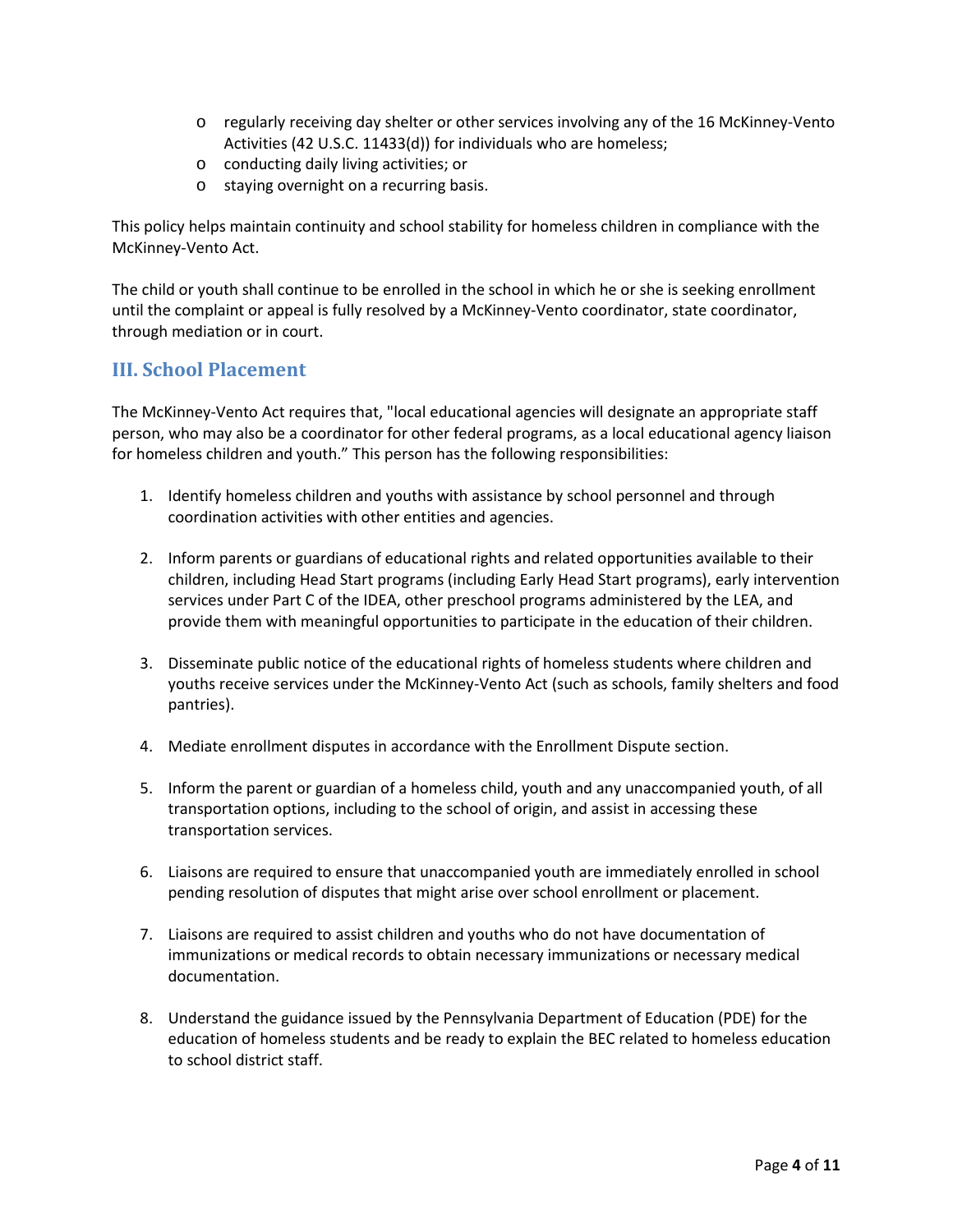- o regularly receiving day shelter or other services involving any of the 16 McKinney-Vento Activities (42 U.S.C. 11433(d)) for individuals who are homeless;
- o conducting daily living activities; or
- o staying overnight on a recurring basis.

This policy helps maintain continuity and school stability for homeless children in compliance with the McKinney-Vento Act.

The child or youth shall continue to be enrolled in the school in which he or she is seeking enrollment until the complaint or appeal is fully resolved by a McKinney-Vento coordinator, state coordinator, through mediation or in court.

# **III. School Placement**

The McKinney-Vento Act requires that, "local educational agencies will designate an appropriate staff person, who may also be a coordinator for other federal programs, as a local educational agency liaison for homeless children and youth." This person has the following responsibilities:

- 1. Identify homeless children and youths with assistance by school personnel and through coordination activities with other entities and agencies.
- 2. Inform parents or guardians of educational rights and related opportunities available to their children, including Head Start programs (including Early Head Start programs), early intervention services under Part C of the IDEA, other preschool programs administered by the LEA, and provide them with meaningful opportunities to participate in the education of their children.
- 3. Disseminate public notice of the educational rights of homeless students where children and youths receive services under the McKinney-Vento Act (such as schools, family shelters and food pantries).
- 4. Mediate enrollment disputes in accordance with the Enrollment Dispute section.
- 5. Inform the parent or guardian of a homeless child, youth and any unaccompanied youth, of all transportation options, including to the school of origin, and assist in accessing these transportation services.
- 6. Liaisons are required to ensure that unaccompanied youth are immediately enrolled in school pending resolution of disputes that might arise over school enrollment or placement.
- 7. Liaisons are required to assist children and youths who do not have documentation of immunizations or medical records to obtain necessary immunizations or necessary medical documentation.
- 8. Understand the guidance issued by the Pennsylvania Department of Education (PDE) for the education of homeless students and be ready to explain the BEC related to homeless education to school district staff.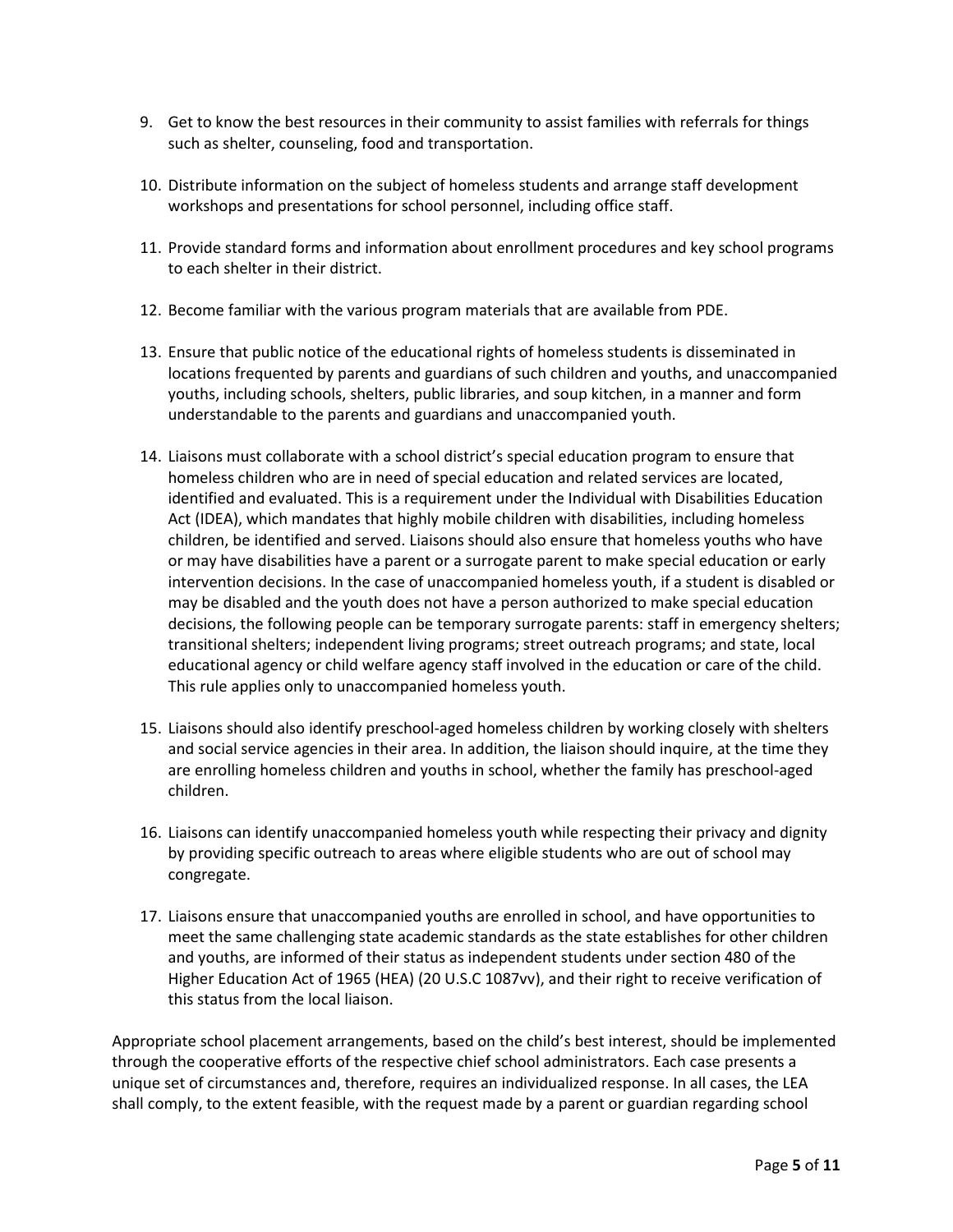- 9. Get to know the best resources in their community to assist families with referrals for things such as shelter, counseling, food and transportation.
- 10. Distribute information on the subject of homeless students and arrange staff development workshops and presentations for school personnel, including office staff.
- 11. Provide standard forms and information about enrollment procedures and key school programs to each shelter in their district.
- 12. Become familiar with the various program materials that are available from PDE.
- 13. Ensure that public notice of the educational rights of homeless students is disseminated in locations frequented by parents and guardians of such children and youths, and unaccompanied youths, including schools, shelters, public libraries, and soup kitchen, in a manner and form understandable to the parents and guardians and unaccompanied youth.
- 14. Liaisons must collaborate with a school district's special education program to ensure that homeless children who are in need of special education and related services are located, identified and evaluated. This is a requirement under the Individual with Disabilities Education Act (IDEA), which mandates that highly mobile children with disabilities, including homeless children, be identified and served. Liaisons should also ensure that homeless youths who have or may have disabilities have a parent or a surrogate parent to make special education or early intervention decisions. In the case of unaccompanied homeless youth, if a student is disabled or may be disabled and the youth does not have a person authorized to make special education decisions, the following people can be temporary surrogate parents: staff in emergency shelters; transitional shelters; independent living programs; street outreach programs; and state, local educational agency or child welfare agency staff involved in the education or care of the child. This rule applies only to unaccompanied homeless youth.
- 15. Liaisons should also identify preschool-aged homeless children by working closely with shelters and social service agencies in their area. In addition, the liaison should inquire, at the time they are enrolling homeless children and youths in school, whether the family has preschool-aged children.
- 16. Liaisons can identify unaccompanied homeless youth while respecting their privacy and dignity by providing specific outreach to areas where eligible students who are out of school may congregate.
- 17. Liaisons ensure that unaccompanied youths are enrolled in school, and have opportunities to meet the same challenging state academic standards as the state establishes for other children and youths, are informed of their status as independent students under section 480 of the Higher Education Act of 1965 (HEA) (20 U.S.C 1087vv), and their right to receive verification of this status from the local liaison.

Appropriate school placement arrangements, based on the child's best interest, should be implemented through the cooperative efforts of the respective chief school administrators. Each case presents a unique set of circumstances and, therefore, requires an individualized response. In all cases, the LEA shall comply, to the extent feasible, with the request made by a parent or guardian regarding school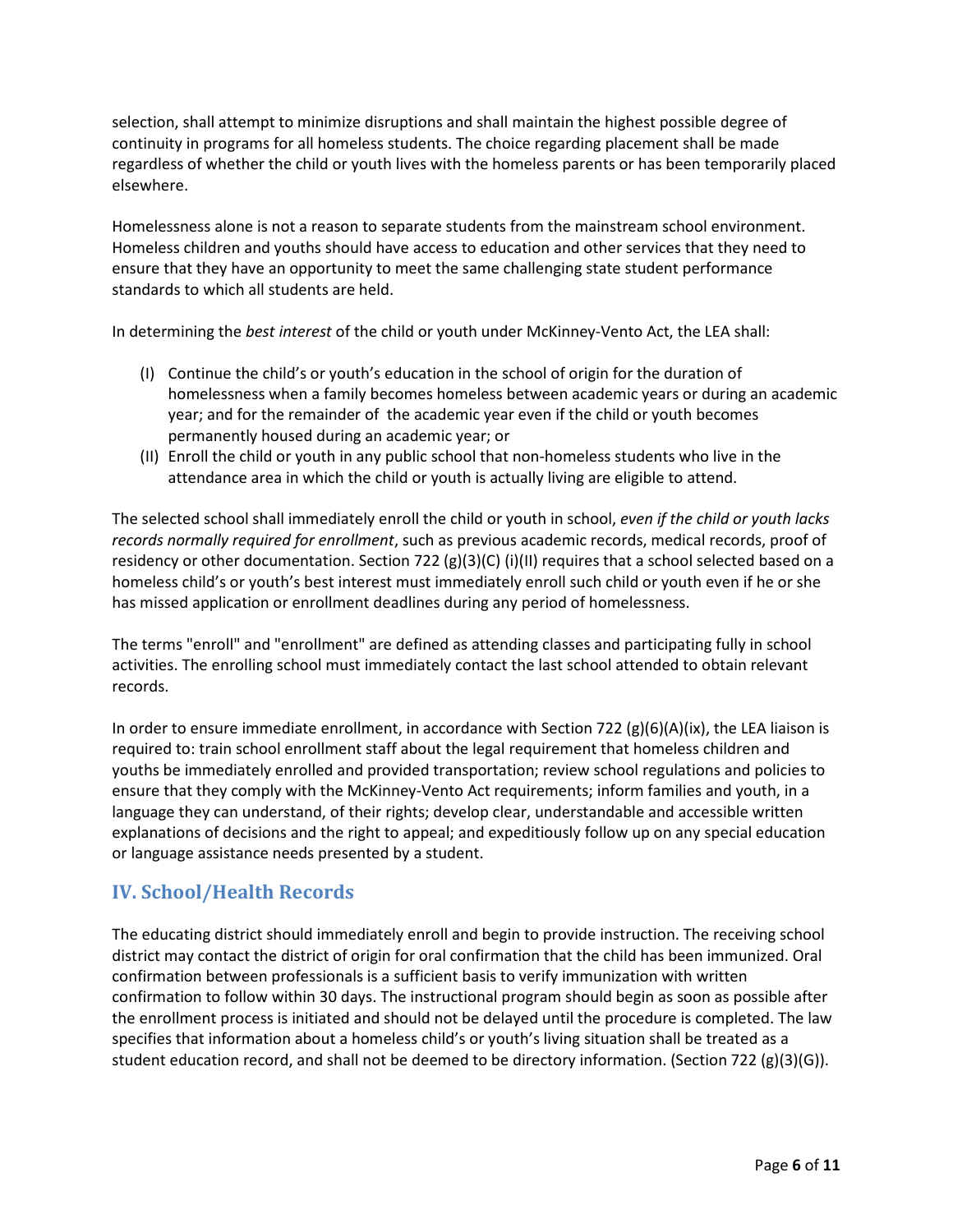selection, shall attempt to minimize disruptions and shall maintain the highest possible degree of continuity in programs for all homeless students. The choice regarding placement shall be made regardless of whether the child or youth lives with the homeless parents or has been temporarily placed elsewhere.

Homelessness alone is not a reason to separate students from the mainstream school environment. Homeless children and youths should have access to education and other services that they need to ensure that they have an opportunity to meet the same challenging state student performance standards to which all students are held.

In determining the *best interest* of the child or youth under McKinney-Vento Act, the LEA shall:

- (I) Continue the child's or youth's education in the school of origin for the duration of homelessness when a family becomes homeless between academic years or during an academic year; and for the remainder of the academic year even if the child or youth becomes permanently housed during an academic year; or
- (II) Enroll the child or youth in any public school that non-homeless students who live in the attendance area in which the child or youth is actually living are eligible to attend.

The selected school shall immediately enroll the child or youth in school, *even if the child or youth lacks records normally required for enrollment*, such as previous academic records, medical records, proof of residency or other documentation. Section 722 (g)(3)(C) (i)(II) requires that a school selected based on a homeless child's or youth's best interest must immediately enroll such child or youth even if he or she has missed application or enrollment deadlines during any period of homelessness.

The terms "enroll" and "enrollment" are defined as attending classes and participating fully in school activities. The enrolling school must immediately contact the last school attended to obtain relevant records.

In order to ensure immediate enrollment, in accordance with Section 722 (g)(6)(A)(ix), the LEA liaison is required to: train school enrollment staff about the legal requirement that homeless children and youths be immediately enrolled and provided transportation; review school regulations and policies to ensure that they comply with the McKinney-Vento Act requirements; inform families and youth, in a language they can understand, of their rights; develop clear, understandable and accessible written explanations of decisions and the right to appeal; and expeditiously follow up on any special education or language assistance needs presented by a student.

# **IV. School/Health Records**

The educating district should immediately enroll and begin to provide instruction. The receiving school district may contact the district of origin for oral confirmation that the child has been immunized. Oral confirmation between professionals is a sufficient basis to verify immunization with written confirmation to follow within 30 days. The instructional program should begin as soon as possible after the enrollment process is initiated and should not be delayed until the procedure is completed. The law specifies that information about a homeless child's or youth's living situation shall be treated as a student education record, and shall not be deemed to be directory information. (Section 722  $(g)(3)(G)$ ).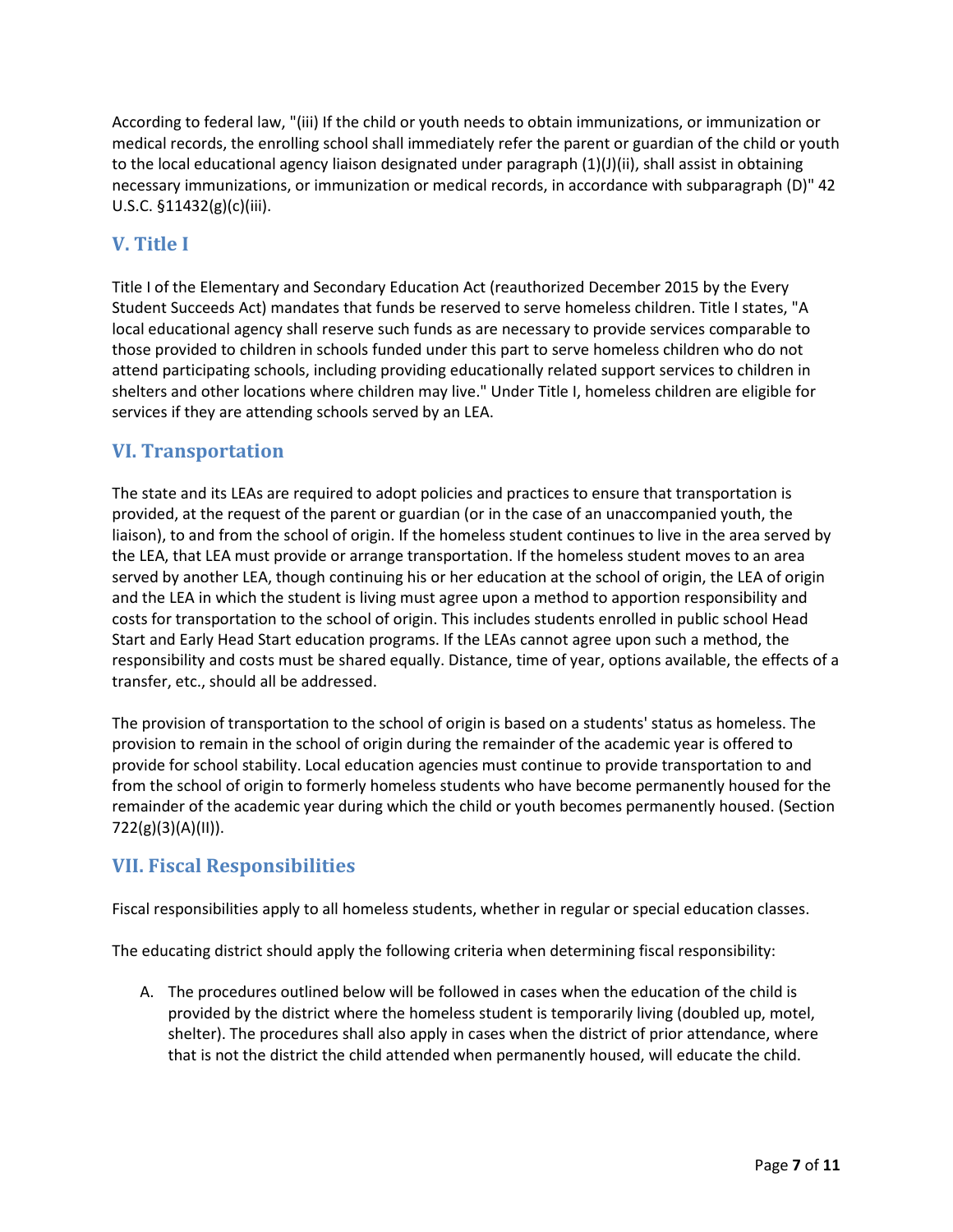According to federal law, "(iii) If the child or youth needs to obtain immunizations, or immunization or medical records, the enrolling school shall immediately refer the parent or guardian of the child or youth to the local educational agency liaison designated under paragraph (1)(J)(ii), shall assist in obtaining necessary immunizations, or immunization or medical records, in accordance with subparagraph (D)" 42 U.S.C. §11432(g)(c)(iii).

# **V. Title I**

Title I of the Elementary and Secondary Education Act (reauthorized December 2015 by the Every Student Succeeds Act) mandates that funds be reserved to serve homeless children. Title I states, "A local educational agency shall reserve such funds as are necessary to provide services comparable to those provided to children in schools funded under this part to serve homeless children who do not attend participating schools, including providing educationally related support services to children in shelters and other locations where children may live." Under Title I, homeless children are eligible for services if they are attending schools served by an LEA.

# **VI. Transportation**

The state and its LEAs are required to adopt policies and practices to ensure that transportation is provided, at the request of the parent or guardian (or in the case of an unaccompanied youth, the liaison), to and from the school of origin. If the homeless student continues to live in the area served by the LEA, that LEA must provide or arrange transportation. If the homeless student moves to an area served by another LEA, though continuing his or her education at the school of origin, the LEA of origin and the LEA in which the student is living must agree upon a method to apportion responsibility and costs for transportation to the school of origin. This includes students enrolled in public school Head Start and Early Head Start education programs. If the LEAs cannot agree upon such a method, the responsibility and costs must be shared equally. Distance, time of year, options available, the effects of a transfer, etc., should all be addressed.

The provision of transportation to the school of origin is based on a students' status as homeless. The provision to remain in the school of origin during the remainder of the academic year is offered to provide for school stability. Local education agencies must continue to provide transportation to and from the school of origin to formerly homeless students who have become permanently housed for the remainder of the academic year during which the child or youth becomes permanently housed. (Section 722(g)(3)(A)(II)).

# **VII. Fiscal Responsibilities**

Fiscal responsibilities apply to all homeless students, whether in regular or special education classes.

The educating district should apply the following criteria when determining fiscal responsibility:

A. The procedures outlined below will be followed in cases when the education of the child is provided by the district where the homeless student is temporarily living (doubled up, motel, shelter). The procedures shall also apply in cases when the district of prior attendance, where that is not the district the child attended when permanently housed, will educate the child.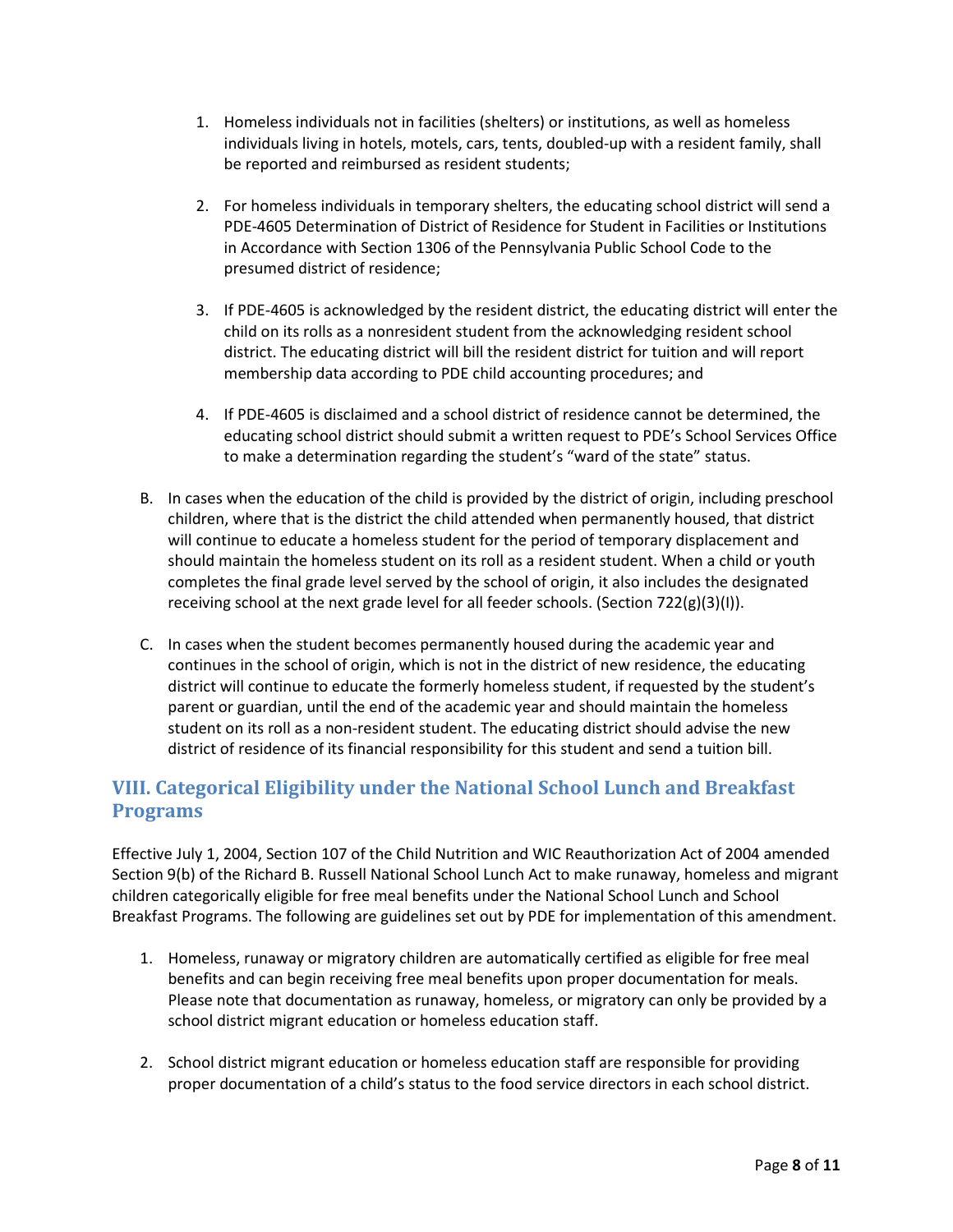- 1. Homeless individuals not in facilities (shelters) or institutions, as well as homeless individuals living in hotels, motels, cars, tents, doubled-up with a resident family, shall be reported and reimbursed as resident students;
- 2. For homeless individuals in temporary shelters, the educating school district will send a PDE-4605 Determination of District of Residence for Student in Facilities or Institutions in Accordance with Section 1306 of the Pennsylvania Public School Code to the presumed district of residence;
- 3. If PDE-4605 is acknowledged by the resident district, the educating district will enter the child on its rolls as a nonresident student from the acknowledging resident school district. The educating district will bill the resident district for tuition and will report membership data according to PDE child accounting procedures; and
- 4. If PDE-4605 is disclaimed and a school district of residence cannot be determined, the educating school district should submit a written request to PDE's School Services Office to make a determination regarding the student's "ward of the state" status.
- B. In cases when the education of the child is provided by the district of origin, including preschool children, where that is the district the child attended when permanently housed, that district will continue to educate a homeless student for the period of temporary displacement and should maintain the homeless student on its roll as a resident student. When a child or youth completes the final grade level served by the school of origin, it also includes the designated receiving school at the next grade level for all feeder schools. (Section  $722(g)(3)(I)$ ).
- C. In cases when the student becomes permanently housed during the academic year and continues in the school of origin, which is not in the district of new residence, the educating district will continue to educate the formerly homeless student, if requested by the student's parent or guardian, until the end of the academic year and should maintain the homeless student on its roll as a non-resident student. The educating district should advise the new district of residence of its financial responsibility for this student and send a tuition bill.

# **VIII. Categorical Eligibility under the National School Lunch and Breakfast Programs**

Effective July 1, 2004, Section 107 of the Child Nutrition and WIC Reauthorization Act of 2004 amended Section 9(b) of the Richard B. Russell National School Lunch Act to make runaway, homeless and migrant children categorically eligible for free meal benefits under the National School Lunch and School Breakfast Programs. The following are guidelines set out by PDE for implementation of this amendment.

- 1. Homeless, runaway or migratory children are automatically certified as eligible for free meal benefits and can begin receiving free meal benefits upon proper documentation for meals. Please note that documentation as runaway, homeless, or migratory can only be provided by a school district migrant education or homeless education staff.
- 2. School district migrant education or homeless education staff are responsible for providing proper documentation of a child's status to the food service directors in each school district.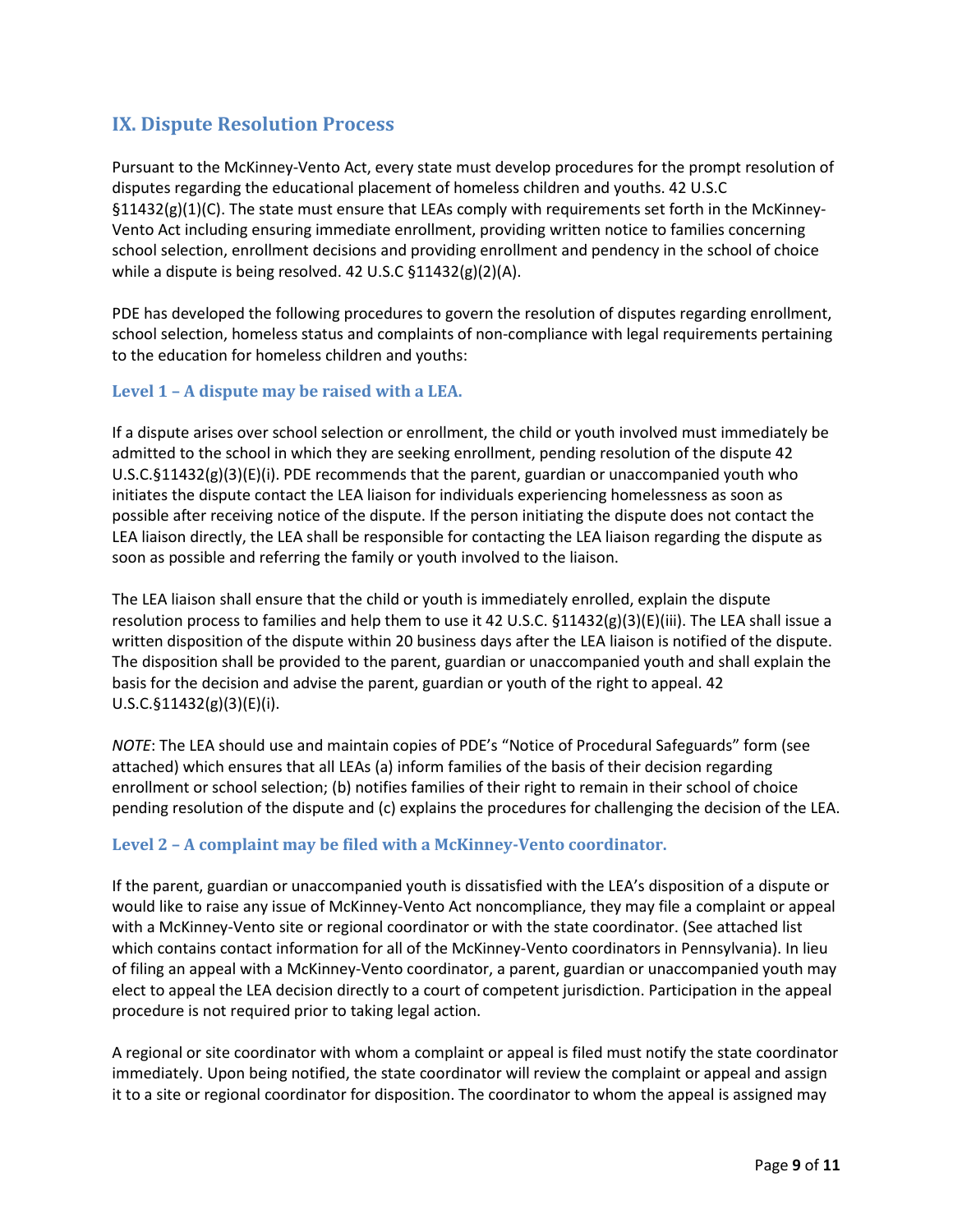# **IX. Dispute Resolution Process**

Pursuant to the McKinney-Vento Act, every state must develop procedures for the prompt resolution of disputes regarding the educational placement of homeless children and youths. 42 U.S.C §11432(g)(1)(C). The state must ensure that LEAs comply with requirements set forth in the McKinney-Vento Act including ensuring immediate enrollment, providing written notice to families concerning school selection, enrollment decisions and providing enrollment and pendency in the school of choice while a dispute is being resolved. 42 U.S.C §11432(g)(2)(A).

PDE has developed the following procedures to govern the resolution of disputes regarding enrollment, school selection, homeless status and complaints of non-compliance with legal requirements pertaining to the education for homeless children and youths:

#### **Level 1 – A dispute may be raised with a LEA.**

If a dispute arises over school selection or enrollment, the child or youth involved must immediately be admitted to the school in which they are seeking enrollment, pending resolution of the dispute 42  $U.S.C.\S11432(g)(3)(E)(i)$ . PDE recommends that the parent, guardian or unaccompanied youth who initiates the dispute contact the LEA liaison for individuals experiencing homelessness as soon as possible after receiving notice of the dispute. If the person initiating the dispute does not contact the LEA liaison directly, the LEA shall be responsible for contacting the LEA liaison regarding the dispute as soon as possible and referring the family or youth involved to the liaison.

The LEA liaison shall ensure that the child or youth is immediately enrolled, explain the dispute resolution process to families and help them to use it 42 U.S.C. §11432(g)(3)(E)(iii). The LEA shall issue a written disposition of the dispute within 20 business days after the LEA liaison is notified of the dispute. The disposition shall be provided to the parent, guardian or unaccompanied youth and shall explain the basis for the decision and advise the parent, guardian or youth of the right to appeal. 42 U.S.C.§11432(g)(3)(E)(i).

*NOTE*: The LEA should use and maintain copies of PDE's "Notice of Procedural Safeguards" form (see attached) which ensures that all LEAs (a) inform families of the basis of their decision regarding enrollment or school selection; (b) notifies families of their right to remain in their school of choice pending resolution of the dispute and (c) explains the procedures for challenging the decision of the LEA.

#### **Level 2 – A complaint may be filed with a McKinney-Vento coordinator.**

If the parent, guardian or unaccompanied youth is dissatisfied with the LEA's disposition of a dispute or would like to raise any issue of McKinney-Vento Act noncompliance, they may file a complaint or appeal with a McKinney-Vento site or regional coordinator or with the state coordinator. (See attached list which contains contact information for all of the McKinney-Vento coordinators in Pennsylvania). In lieu of filing an appeal with a McKinney-Vento coordinator, a parent, guardian or unaccompanied youth may elect to appeal the LEA decision directly to a court of competent jurisdiction. Participation in the appeal procedure is not required prior to taking legal action.

A regional or site coordinator with whom a complaint or appeal is filed must notify the state coordinator immediately. Upon being notified, the state coordinator will review the complaint or appeal and assign it to a site or regional coordinator for disposition. The coordinator to whom the appeal is assigned may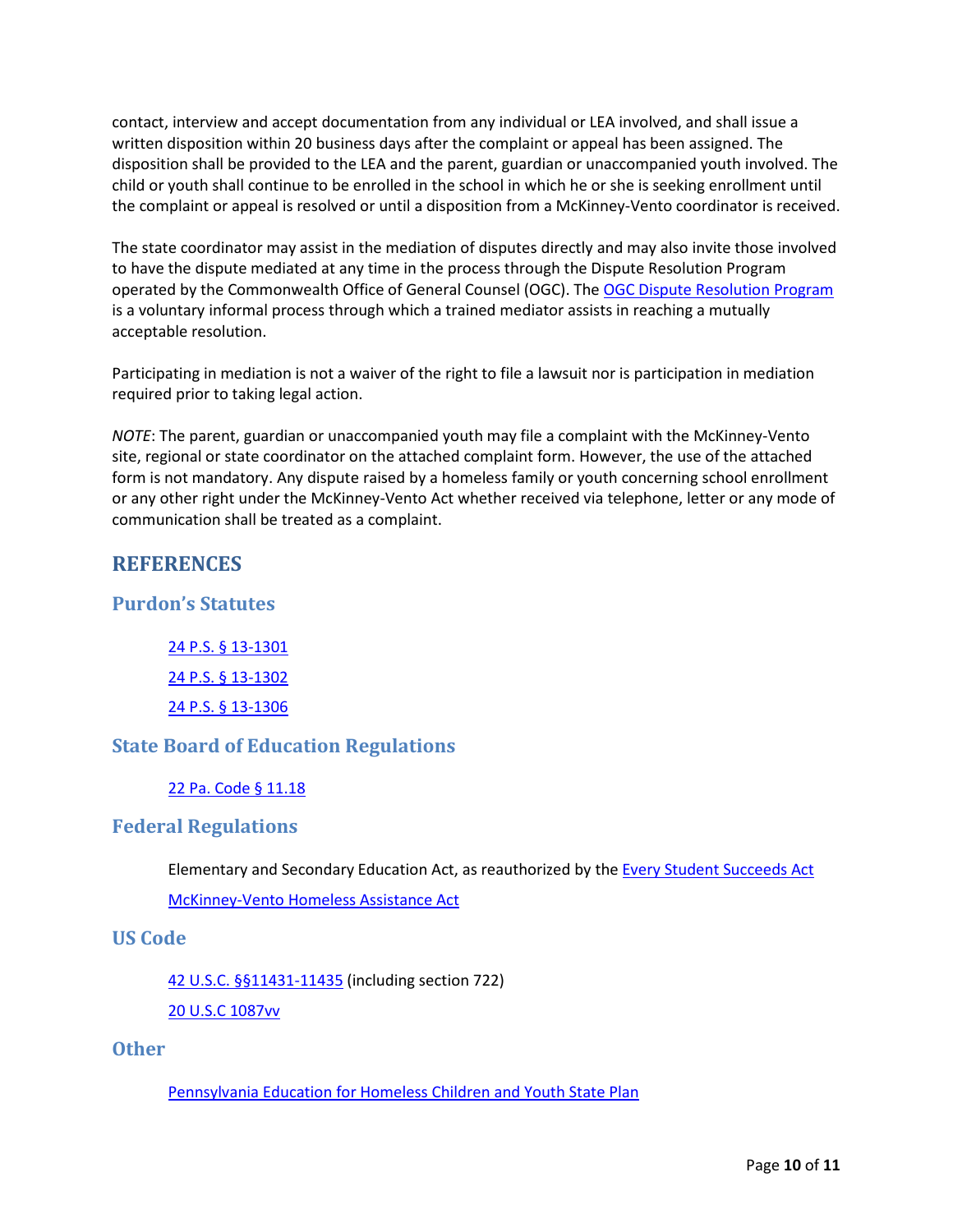contact, interview and accept documentation from any individual or LEA involved, and shall issue a written disposition within 20 business days after the complaint or appeal has been assigned. The disposition shall be provided to the LEA and the parent, guardian or unaccompanied youth involved. The child or youth shall continue to be enrolled in the school in which he or she is seeking enrollment until the complaint or appeal is resolved or until a disposition from a McKinney-Vento coordinator is received.

The state coordinator may assist in the mediation of disputes directly and may also invite those involved to have the dispute mediated at any time in the process through the Dispute Resolution Program operated by the Commonwealth Office of General Counsel (OGC). The [OGC Dispute Resolution Program](http://www.ogc.pa.gov/Services%20to%20Agencies/Mediation%20Procedures/Pages/default.aspx) is a voluntary informal process through which a trained mediator assists in reaching a mutually acceptable resolution.

Participating in mediation is not a waiver of the right to file a lawsuit nor is participation in mediation required prior to taking legal action.

*NOTE*: The parent, guardian or unaccompanied youth may file a complaint with the McKinney-Vento site, regional or state coordinator on the attached complaint form. However, the use of the attached form is not mandatory. Any dispute raised by a homeless family or youth concerning school enrollment or any other right under the McKinney-Vento Act whether received via telephone, letter or any mode of communication shall be treated as a complaint.

# **REFERENCES**

## **Purdon's Statutes**

24 P.S. § [13-1301](http://www.legis.state.pa.us/cfdocs/legis/LI/uconsCheck.cfm?txtType=HTM&yr=1949&sessInd=0&smthLwInd=0&act=14&chpt=13&sctn=1&subsctn=0) 24 P.S. § [13-1302](http://www.legis.state.pa.us/cfdocs/legis/LI/uconsCheck.cfm?txtType=HTM&yr=1949&sessInd=0&smthLwInd=0&act=14&chpt=13&sctn=2&subsctn=0) 24 P.S. § [13-1306](http://www.legis.state.pa.us/cfdocs/legis/LI/uconsCheck.cfm?txtType=HTM&yr=1949&sessInd=0&smthLwInd=0&act=14&chpt=13&sctn=6&subsctn=0)

## **State Board of Education Regulations**

22 Pa. Code § [11.18](http://www.pacode.com/secure/data/022/chapter11/s11.18.html)

#### **Federal Regulations**

Elementary and Secondary Education Act, as reauthorized by the [Every Student Succeeds Act](https://www.congress.gov/bill/114th-congress/senate-bill/1177/text) [McKinney-Vento](http://www2.ed.gov/programs/homeless/legislation.html) Homeless Assistance Act

#### **US Code**

[42 U.S.C. §§11431-11435](http://www2.ed.gov/programs/homeless/legislation.html) (including section 722)

[20 U.S.C 1087vv](http://codes.lp.findlaw.com/uscode/20/28/IV/E/1087vv)

## **Other**

[Pennsylvania](http://www.education.pa.gov/Documents/K-12/Homeless%20Education/ECYEH%20State%20Plan%202013%20FINAL.pdf) Education for Homeless Children and Youth State Plan